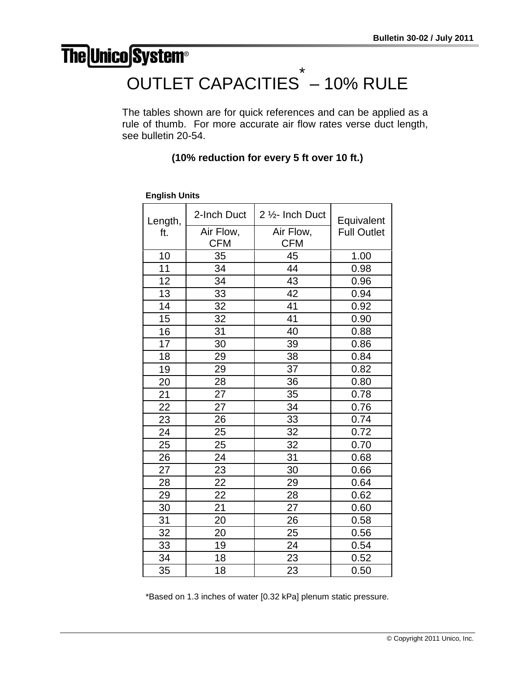## **The Unico System®**

## OUTLET CAPACITIES \* – 10% RULE

The tables shown are for quick references and can be applied as a rule of thumb. For more accurate air flow rates verse duct length, see bulletin 20-54.

## **(10% reduction for every 5 ft over 10 ft.)**

| Length, | 2-Inch Duct | 2 1/2- Inch Duct | Equivalent         |
|---------|-------------|------------------|--------------------|
| ft.     | Air Flow,   | Air Flow,        | <b>Full Outlet</b> |
|         | <b>CFM</b>  | <b>CFM</b>       |                    |
| 10      | 35          | 45               | 1.00               |
| 11      | 34          | 44               | 0.98               |
| 12      | 34          | 43               | 0.96               |
| 13      | 33          | 42               | 0.94               |
| 14      | 32          | 41               | 0.92               |
| 15      | 32          | 41               | 0.90               |
| 16      | 31          | 40               | 0.88               |
| 17      | 30          | 39               | 0.86               |
| 18      | 29          | 38               | 0.84               |
| 19      | 29          | 37               | 0.82               |
| 20      | 28          | 36               | 0.80               |
| 21      | 27          | 35               | 0.78               |
| 22      | 27          | 34               | 0.76               |
| 23      | 26          | 33               | 0.74               |
| 24      | 25          | 32               | 0.72               |
| 25      | 25          | 32               | 0.70               |
| 26      | 24          | 31               | 0.68               |
| 27      | 23          | 30               | 0.66               |
| 28      | 22          | 29               | 0.64               |
| 29      | 22          | 28               | 0.62               |
| 30      | 21          | 27               | 0.60               |
| 31      | 20          | 26               | 0.58               |
| 32      | 20          | 25               | 0.56               |
| 33      | 19          | 24               | 0.54               |
| 34      | 18          | 23               | 0.52               |
| 35      | 18          | 23               | 0.50               |

**English Units**

\*Based on 1.3 inches of water [0.32 kPa] plenum static pressure.